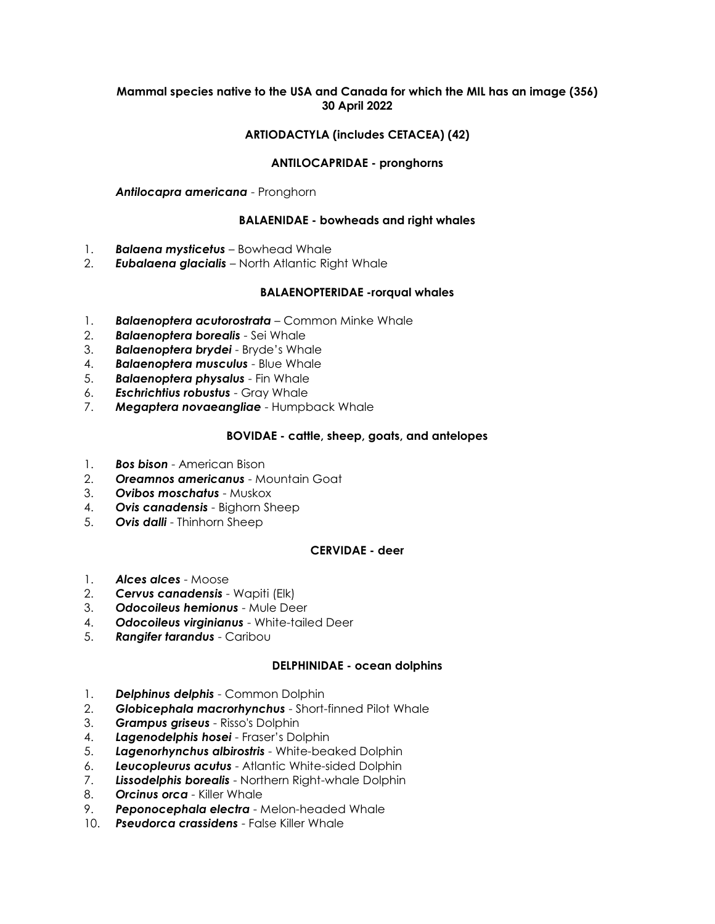## **Mammal species native to the USA and Canada for which the MIL has an image (356) 30 April 2022**

# **ARTIODACTYLA (includes CETACEA) (42)**

## **ANTILOCAPRIDAE - pronghorns**

*Antilocapra americana* - Pronghorn

### **BALAENIDAE - bowheads and right whales**

- 1. *Balaena mysticetus –* Bowhead Whale
- 2. *Eubalaena glacialis* North Atlantic Right Whale

### **BALAENOPTERIDAE -rorqual whales**

- 1. *Balaenoptera acutorostrata* Common Minke Whale
- 2. *Balaenoptera borealis* Sei Whale
- 3. *Balaenoptera brydei* Bryde's Whale
- 4. *Balaenoptera musculus* Blue Whale
- 5. *Balaenoptera physalus* Fin Whale
- 6. *Eschrichtius robustus* Gray Whale
- 7. *Megaptera novaeangliae* Humpback Whale

## **BOVIDAE - cattle, sheep, goats, and antelopes**

- 1. *Bos bison* American Bison
- 2. *Oreamnos americanus* Mountain Goat
- 3. *Ovibos moschatus* Muskox
- 4. *Ovis canadensis* Bighorn Sheep
- 5. *Ovis dalli* Thinhorn Sheep

#### **CERVIDAE - deer**

- 1. *Alces alces* Moose
- 2. *Cervus canadensis* Wapiti (Elk)
- 3. *Odocoileus hemionus* Mule Deer
- 4. *Odocoileus virginianus* White-tailed Deer
- 5. *Rangifer tarandus* Caribou

#### **DELPHINIDAE - ocean dolphins**

- 1. *Delphinus delphis* Common Dolphin
- 2. *Globicephala macrorhynchus* Short-finned Pilot Whale
- 3. *Grampus griseus* Risso's Dolphin
- 4. *Lagenodelphis hosei* Fraser's Dolphin
- 5. *Lagenorhynchus albirostris* White-beaked Dolphin
- 6. *Leucopleurus acutus* Atlantic White-sided Dolphin
- 7. *Lissodelphis borealis* Northern Right-whale Dolphin
- 8. *Orcinus orca* Killer Whale
- 9. *Peponocephala electra* Melon-headed Whale
- 10. *Pseudorca crassidens* False Killer Whale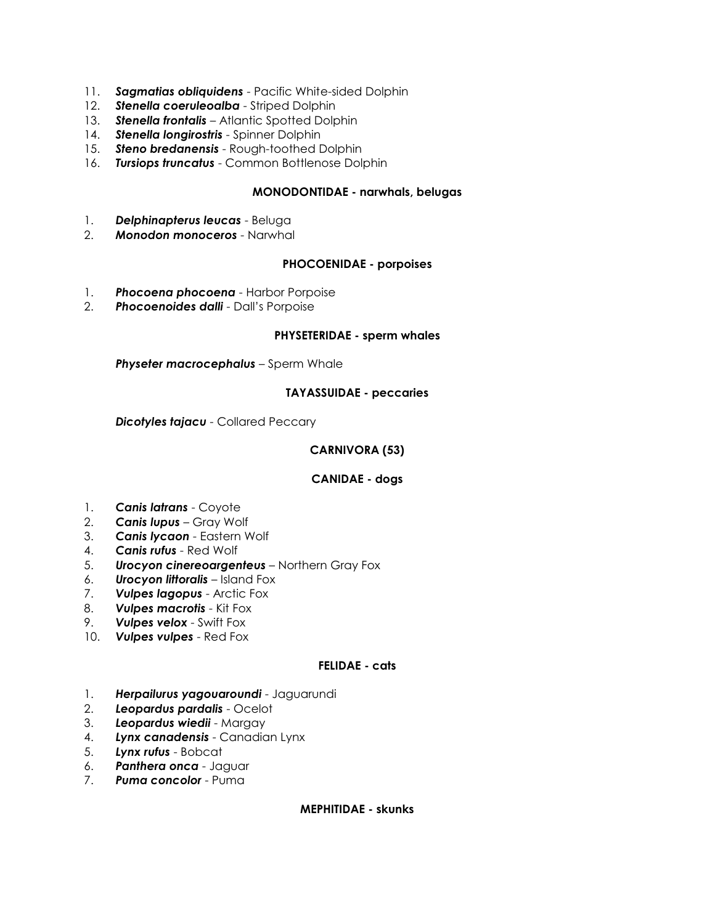- 11. *Sagmatias obliquidens* Pacific White-sided Dolphin
- 12. *Stenella coeruleoalba* Striped Dolphin
- 13. *Stenella frontalis* Atlantic Spotted Dolphin
- 14. *Stenella longirostris* Spinner Dolphin
- 15. *Steno bredanensis* Rough-toothed Dolphin
- 16. *Tursiops truncatus* Common Bottlenose Dolphin

## **MONODONTIDAE - narwhals, belugas**

- 1. *Delphinapterus leucas* Beluga
- 2. *Monodon monoceros* Narwhal

## **PHOCOENIDAE - porpoises**

- 1. *Phocoena phocoena* Harbor Porpoise
- 2. *Phocoenoides dalli* Dall's Porpoise

#### **PHYSETERIDAE - sperm whales**

*Physeter macrocephalus* – Sperm Whale

### **TAYASSUIDAE - peccaries**

*Dicotyles tajacu* - Collared Peccary

### **CARNIVORA (53)**

## **CANIDAE - dogs**

- 1. *Canis latrans* Coyote
- 2. *Canis lupus* Gray Wolf
- 3. *Canis lycaon* Eastern Wolf
- 4. *Canis rufus* Red Wolf
- 5. *Urocyon cinereoargenteus* Northern Gray Fox
- 6. *Urocyon littoralis* Island Fox
- 7. *Vulpes lagopus* Arctic Fox
- 8. *Vulpes macrotis* Kit Fox
- 9. *Vulpes velox* Swift Fox
- 10. *Vulpes vulpes* Red Fox

#### **FELIDAE - cats**

- 1. *Herpailurus yagouaroundi* Jaguarundi
- 2. *Leopardus pardalis* Ocelot
- 3. *Leopardus wiedii* Margay
- 4. *Lynx canadensis* Canadian Lynx
- 5. *Lynx rufus* Bobcat
- 6. *Panthera onca* Jaguar
- 7. *Puma concolor* Puma

### **MEPHITIDAE - skunks**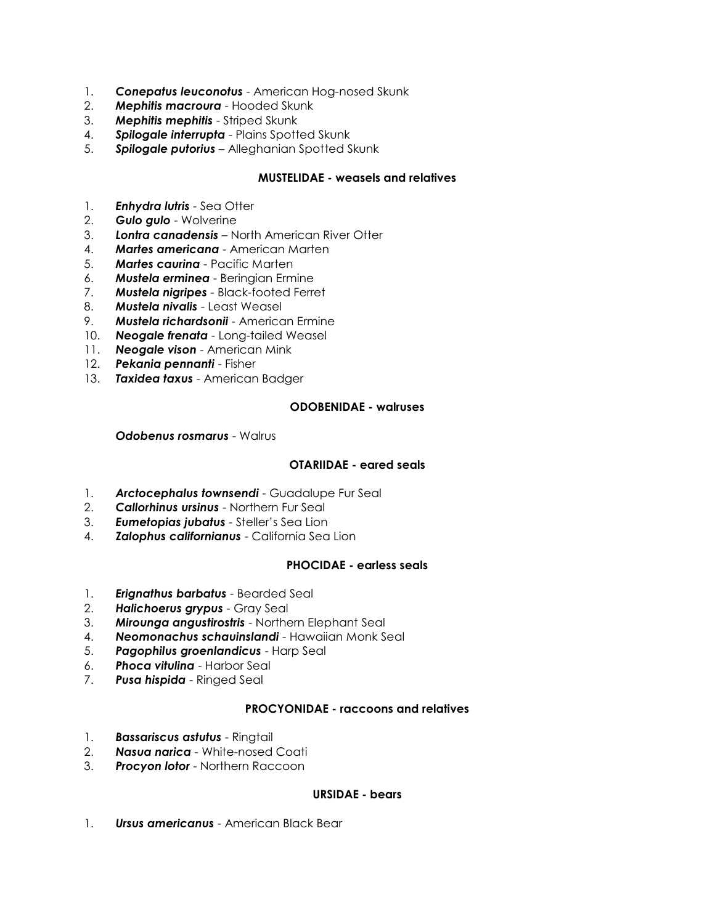- 1. *Conepatus leuconotus* American Hog-nosed Skunk
- 2. *Mephitis macroura* Hooded Skunk
- 3. *Mephitis mephitis* Striped Skunk
- 4. *Spilogale interrupta* Plains Spotted Skunk
- 5. *Spilogale putorius* Alleghanian Spotted Skunk

## **MUSTELIDAE - weasels and relatives**

- 1. *Enhydra lutris* Sea Otter
- 2. *Gulo gulo* Wolverine
- 3. *Lontra canadensis* North American River Otter
- 4. *Martes americana* American Marten
- 5. *Martes caurina* Pacific Marten
- 6. *Mustela erminea* Beringian Ermine
- 7. *Mustela nigripes* Black-footed Ferret
- 8. *Mustela nivalis* Least Weasel
- 9. *Mustela richardsonii* American Ermine
- 10. *Neogale frenata* Long-tailed Weasel
- 11. *Neogale vison* American Mink
- 12. *Pekania pennanti* Fisher
- 13. *Taxidea taxus* American Badger

## **ODOBENIDAE - walruses**

*Odobenus rosmarus* - Walrus

## **OTARIIDAE - eared seals**

- 1. **Arctocephalus townsendi** Guadalupe Fur Seal
- 2. *Callorhinus ursinus* Northern Fur Seal
- 3. *Eumetopias jubatus* Steller's Sea Lion
- 4. *Zalophus californianus* California Sea Lion

## **PHOCIDAE - earless seals**

- 1. *Erignathus barbatus* Bearded Seal
- 2. *Halichoerus grypus* Gray Seal
- 3. *Mirounga angustirostris* Northern Elephant Seal
- 4. *Neomonachus schauinslandi* Hawaiian Monk Seal
- 5. *Pagophilus groenlandicus* Harp Seal
- 6. *Phoca vitulina* Harbor Seal
- 7. *Pusa hispida* Ringed Seal

## **PROCYONIDAE - raccoons and relatives**

- 1. *Bassariscus astutus* Ringtail
- 2. *Nasua narica* White-nosed Coati
- 3. *Procyon lotor* Northern Raccoon

## **URSIDAE - bears**

1. *Ursus americanus* - American Black Bear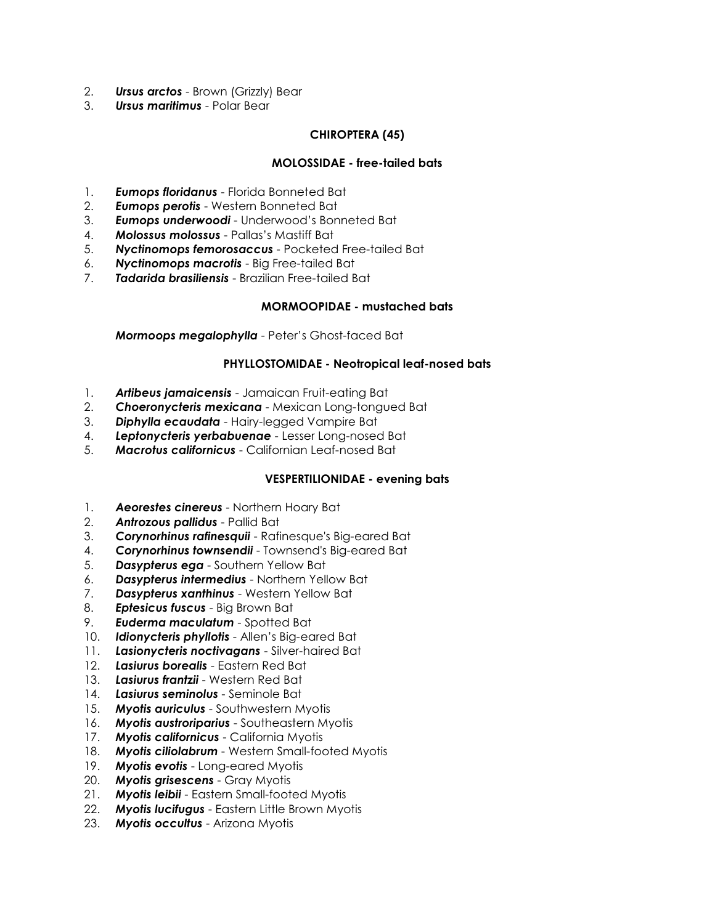- 2. *Ursus arctos* Brown (Grizzly) Bear
- 3. *Ursus maritimus* Polar Bear

# **CHIROPTERA (45)**

# **MOLOSSIDAE - free-tailed bats**

- 1. *Eumops floridanus* Florida Bonneted Bat
- 2. *Eumops perotis* Western Bonneted Bat
- 3. *Eumops underwoodi* Underwood's Bonneted Bat
- 4. *Molossus molossus* Pallas's Mastiff Bat
- 5. *Nyctinomops femorosaccus* Pocketed Free-tailed Bat
- 6. *Nyctinomops macrotis* Big Free-tailed Bat
- 7. *Tadarida brasiliensis* Brazilian Free-tailed Bat

# **MORMOOPIDAE - mustached bats**

*Mormoops megalophylla* - Peter's Ghost-faced Bat

# **PHYLLOSTOMIDAE - Neotropical leaf-nosed bats**

- 1. *Artibeus jamaicensis* Jamaican Fruit-eating Bat
- 2. *Choeronycteris mexicana* Mexican Long-tongued Bat
- 3. *Diphylla ecaudata* Hairy-legged Vampire Bat
- 4. *Leptonycteris yerbabuenae* Lesser Long-nosed Bat
- 5. *Macrotus californicus* Californian Leaf-nosed Bat

# **VESPERTILIONIDAE - evening bats**

- 1. *Aeorestes cinereus* Northern Hoary Bat
- 2. *Antrozous pallidus* Pallid Bat
- 3. *Corynorhinus rafinesquii* Rafinesque's Big-eared Bat
- 4. *Corynorhinus townsendii* Townsend's Big-eared Bat
- 5. *Dasypterus ega* Southern Yellow Bat
- 6. *Dasypterus intermedius* Northern Yellow Bat
- 7. *Dasypterus xanthinus* Western Yellow Bat
- 8. *Eptesicus fuscus* Big Brown Bat
- 9. *Euderma maculatum* Spotted Bat
- 10. *Idionycteris phyllotis* Allen's Big-eared Bat
- 11. *Lasionycteris noctivagans* Silver-haired Bat
- 12. *Lasiurus borealis* Eastern Red Bat
- 13. *Lasiurus frantzii* Western Red Bat
- 14. *Lasiurus seminolus* Seminole Bat
- 15. *Myotis auriculus* Southwestern Myotis
- 16. *Myotis austroriparius* Southeastern Myotis
- 17. *Myotis californicus* California Myotis
- 18. *Myotis ciliolabrum* Western Small-footed Myotis
- 19. *Myotis evotis* Long-eared Myotis
- 20. *Myotis grisescens* Gray Myotis
- 21. *Myotis leibii* Eastern Small-footed Myotis
- 22. *Myotis lucifugus* Eastern Little Brown Myotis
- 23. *Myotis occultus* Arizona Myotis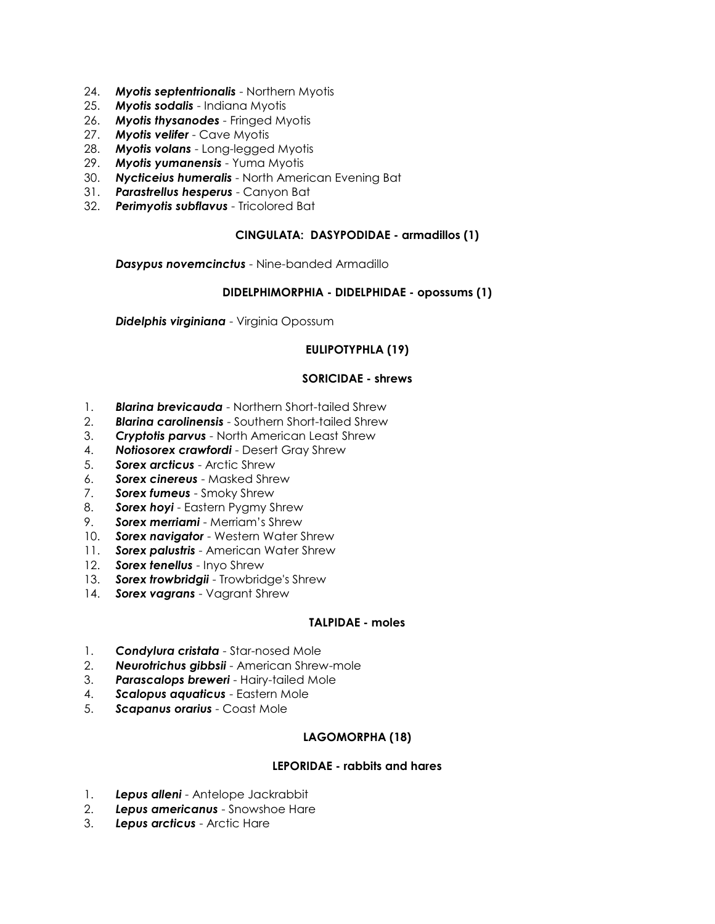- 24. *Myotis septentrionalis* Northern Myotis
- 25. *Myotis sodalis* Indiana Myotis
- 26. *Myotis thysanodes* Fringed Myotis
- 27. *Myotis velifer* Cave Myotis
- 28. *Myotis volans* Long-legged Myotis
- 29. *Myotis yumanensis* Yuma Myotis
- 30. *Nycticeius humeralis* North American Evening Bat
- 31. *Parastrellus hesperus* Canyon Bat
- 32. *Perimyotis subflavus* Tricolored Bat

### **CINGULATA: DASYPODIDAE - armadillos (1)**

*Dasypus novemcinctus* - Nine-banded Armadillo

### **DIDELPHIMORPHIA - DIDELPHIDAE - opossums (1)**

*Didelphis virginiana* - Virginia Opossum

# **EULIPOTYPHLA (19)**

### **SORICIDAE - shrews**

- 1. *Blarina brevicauda* Northern Short-tailed Shrew
- 2. *Blarina carolinensis* Southern Short-tailed Shrew
- 3. *Cryptotis parvus* North American Least Shrew
- 4. *Notiosorex crawfordi* Desert Gray Shrew
- 5. *Sorex arcticus* Arctic Shrew
- 6. *Sorex cinereus* Masked Shrew
- 7. *Sorex fumeus* Smoky Shrew
- 8. *Sorex hoyi* Eastern Pygmy Shrew
- 9. *Sorex merriami* Merriam's Shrew
- 10. *Sorex navigator* Western Water Shrew
- 11. *Sorex palustris* American Water Shrew
- 12. *Sorex tenellus* Inyo Shrew
- 13. *Sorex trowbridgii* Trowbridge's Shrew
- 14. *Sorex vagrans* Vagrant Shrew

### **TALPIDAE - moles**

- 1. *Condylura cristata* Star-nosed Mole
- 2. *Neurotrichus gibbsii* American Shrew-mole
- 3. *Parascalops breweri* Hairy-tailed Mole
- 4. *Scalopus aquaticus* Eastern Mole
- 5. *Scapanus orarius* Coast Mole

## **LAGOMORPHA (18)**

## **LEPORIDAE - rabbits and hares**

- 1. *Lepus alleni* Antelope Jackrabbit
- 2. *Lepus americanus* Snowshoe Hare
- 3. *Lepus arcticus* Arctic Hare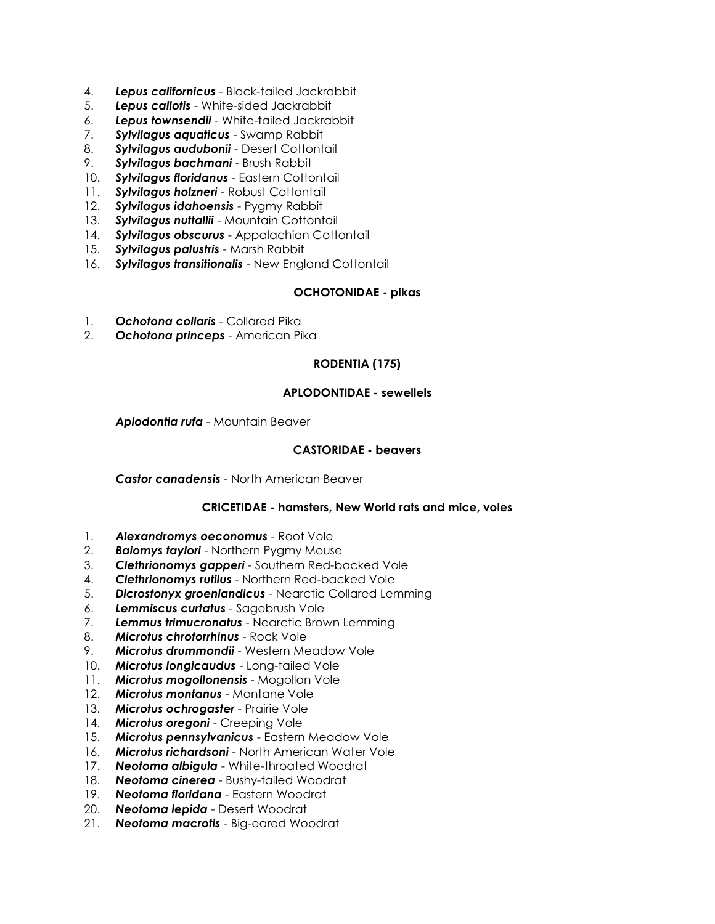- 4. *Lepus californicus* Black-tailed Jackrabbit
- 5. *Lepus callotis* White-sided Jackrabbit
- 6. *Lepus townsendii* White-tailed Jackrabbit
- 7. *Sylvilagus aquaticus* Swamp Rabbit
- 8. *Sylvilagus audubonii* Desert Cottontail
- 9. *Sylvilagus bachmani* Brush Rabbit
- 10. *Sylvilagus floridanus* Eastern Cottontail
- 11. *Sylvilagus holzneri* Robust Cottontail
- 12. *Sylvilagus idahoensis* Pygmy Rabbit
- 13. *Sylvilagus nuttallii* Mountain Cottontail
- 14. *Sylvilagus obscurus* Appalachian Cottontail
- 15. *Sylvilagus palustris* Marsh Rabbit
- 16. *Sylvilagus transitionalis* New England Cottontail

### **OCHOTONIDAE - pikas**

- 1. *Ochotona collaris* Collared Pika
- 2. *Ochotona princeps* American Pika

### **RODENTIA (175)**

#### **APLODONTIDAE - sewellels**

*Aplodontia rufa* - Mountain Beaver

### **CASTORIDAE - beavers**

*Castor canadensis* - North American Beaver

#### **CRICETIDAE - hamsters, New World rats and mice, voles**

- 1. *Alexandromys oeconomus* Root Vole
- 2. *Baiomys taylori* Northern Pygmy Mouse
- 3. *Clethrionomys gapperi* Southern Red-backed Vole
- 4. *Clethrionomys rutilus* Northern Red-backed Vole
- 5. *Dicrostonyx groenlandicus* Nearctic Collared Lemming
- 6. *Lemmiscus curtatus* Sagebrush Vole
- 7. *Lemmus trimucronatus* Nearctic Brown Lemming
- 8. *Microtus chrotorrhinus* Rock Vole
- 9. *Microtus drummondii* Western Meadow Vole
- 10. *Microtus longicaudus* Long-tailed Vole
- 11. *Microtus mogollonensis* Mogollon Vole
- 12. *Microtus montanus* Montane Vole
- 13. *Microtus ochrogaster* Prairie Vole
- 14. *Microtus oregoni* Creeping Vole
- 15. *Microtus pennsylvanicus* Eastern Meadow Vole
- 16. *Microtus richardsoni* North American Water Vole
- 17. *Neotoma albigula* White-throated Woodrat
- 18. *Neotoma cinerea* Bushy-tailed Woodrat
- 19. *Neotoma floridana* Eastern Woodrat
- 20. *Neotoma lepida* Desert Woodrat
- 21. *Neotoma macrotis* Big-eared Woodrat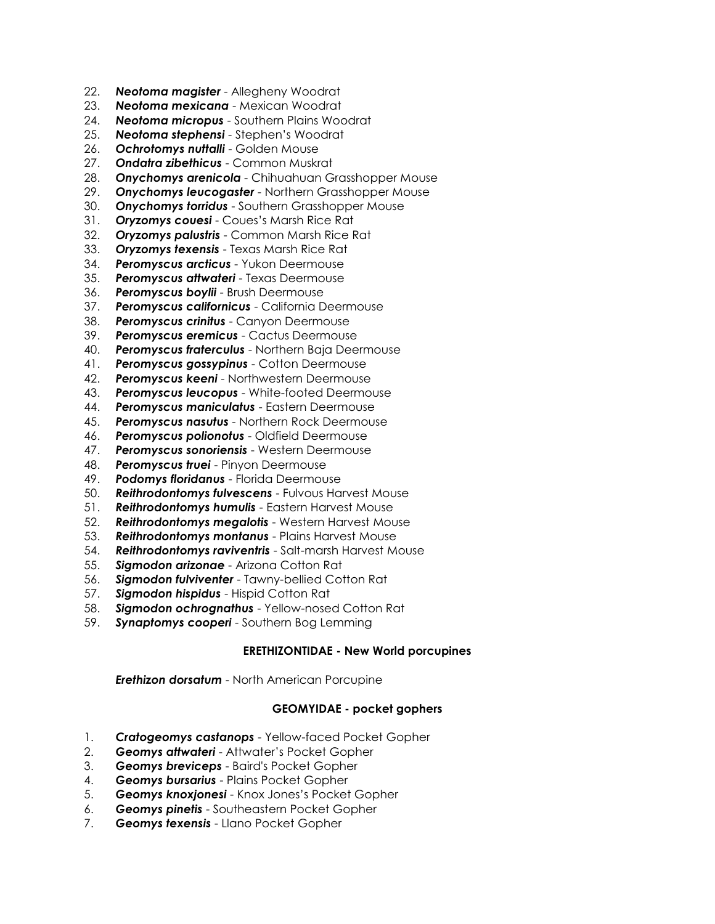- 22. *Neotoma magister* Allegheny Woodrat
- 23. *Neotoma mexicana* Mexican Woodrat
- 24. *Neotoma micropus* Southern Plains Woodrat
- 25. *Neotoma stephensi* Stephen's Woodrat
- 26. *Ochrotomys nuttalli* Golden Mouse
- 27. *Ondatra zibethicus* Common Muskrat
- 28. *Onychomys arenicola* Chihuahuan Grasshopper Mouse
- 29. *Onychomys leucogaster* Northern Grasshopper Mouse
- 30. *Onychomys torridus* Southern Grasshopper Mouse
- 31. *Oryzomys couesi* Coues's Marsh Rice Rat
- 32. *Oryzomys palustris* Common Marsh Rice Rat
- 33. *Oryzomys texensis* Texas Marsh Rice Rat
- 34. *Peromyscus arcticus* Yukon Deermouse
- 35. *Peromyscus attwateri* Texas Deermouse
- 36. *Peromyscus boylii* Brush Deermouse
- 37. *Peromyscus californicus* California Deermouse
- 38. *Peromyscus crinitus* Canyon Deermouse
- 39. *Peromyscus eremicus* Cactus Deermouse
- 40. *Peromyscus fraterculus* Northern Baja Deermouse
- 41. *Peromyscus gossypinus* Cotton Deermouse
- 42. *Peromyscus keeni* Northwestern Deermouse
- 43. *Peromyscus leucopus* White-footed Deermouse
- 44. *Peromyscus maniculatus* Eastern Deermouse
- 45. *Peromyscus nasutus* Northern Rock Deermouse
- 46. *Peromyscus polionotus* Oldfield Deermouse
- 47. *Peromyscus sonoriensis* Western Deermouse
- 48. *Peromyscus truei* Pinyon Deermouse
- 49. *Podomys floridanus* Florida Deermouse
- 50. *Reithrodontomys fulvescens* Fulvous Harvest Mouse
- 51. *Reithrodontomys humulis* Eastern Harvest Mouse
- 52. *Reithrodontomys megalotis* Western Harvest Mouse
- 53. *Reithrodontomys montanus* Plains Harvest Mouse
- 54. *Reithrodontomys raviventris* Salt-marsh Harvest Mouse
- 55. *Sigmodon arizonae* Arizona Cotton Rat
- 56. *Sigmodon fulviventer* Tawny-bellied Cotton Rat
- 57. *Sigmodon hispidus* Hispid Cotton Rat
- 58. *Sigmodon ochrognathus* Yellow-nosed Cotton Rat
- 59. *Synaptomys cooperi* Southern Bog Lemming

## **ERETHIZONTIDAE - New World porcupines**

*Erethizon dorsatum* - North American Porcupine

## **GEOMYIDAE - pocket gophers**

- 1. *Cratogeomys castanops* Yellow-faced Pocket Gopher
- 2. *Geomys attwateri* Attwater's Pocket Gopher
- 3. *Geomys breviceps* Baird's Pocket Gopher
- 4. *Geomys bursarius* Plains Pocket Gopher
- 5. *Geomys knoxjonesi* Knox Jones's Pocket Gopher
- 6. *Geomys pinetis* Southeastern Pocket Gopher
- 7. *Geomys texensis* Llano Pocket Gopher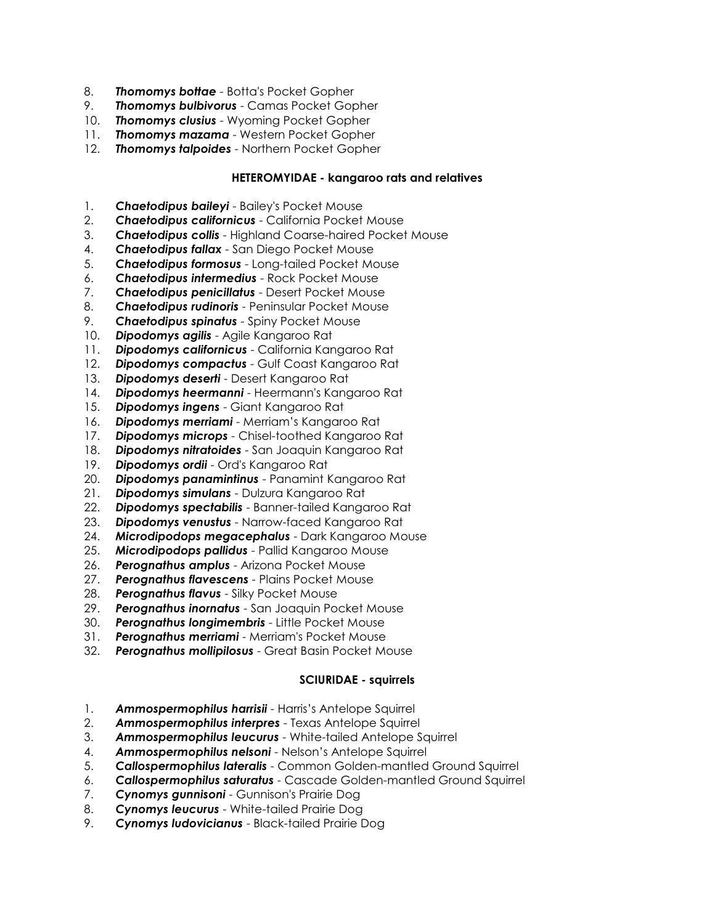- 8. *Thomomys bottae* Botta's Pocket Gopher
- 9. *Thomomys bulbivorus* Camas Pocket Gopher
- 10. *Thomomys clusius* Wyoming Pocket Gopher
- 11. *Thomomys mazama* Western Pocket Gopher
- 12. *Thomomys talpoides* Northern Pocket Gopher

#### **HETEROMYIDAE - kangaroo rats and relatives**

- 1. *Chaetodipus baileyi* Bailey's Pocket Mouse
- 2. *Chaetodipus californicus* California Pocket Mouse
- 3. *Chaetodipus collis* Highland Coarse-haired Pocket Mouse
- 4. *Chaetodipus fallax* San Diego Pocket Mouse
- 5. *Chaetodipus formosus* Long-tailed Pocket Mouse
- 6. *Chaetodipus intermedius* Rock Pocket Mouse
- 7. *Chaetodipus penicillatus* Desert Pocket Mouse
- 8. *Chaetodipus rudinoris* Peninsular Pocket Mouse
- 9. *Chaetodipus spinatus* Spiny Pocket Mouse
- 10. *Dipodomys agilis* Agile Kangaroo Rat
- 11. *Dipodomys californicus* California Kangaroo Rat
- 12. *Dipodomys compactus* Gulf Coast Kangaroo Rat
- 13. *Dipodomys deserti* Desert Kangaroo Rat
- 14. *Dipodomys heermanni* Heermann's Kangaroo Rat
- 15. *Dipodomys ingens* Giant Kangaroo Rat
- 16. *Dipodomys merriami* Merriam's Kangaroo Rat
- 17. *Dipodomys microps* Chisel-toothed Kangaroo Rat
- 18. *Dipodomys nitratoides* San Joaquin Kangaroo Rat
- 19. *Dipodomys ordii* Ord's Kangaroo Rat
- 20. *Dipodomys panamintinus* Panamint Kangaroo Rat
- 21. *Dipodomys simulans* Dulzura Kangaroo Rat
- 22. *Dipodomys spectabilis* Banner-tailed Kangaroo Rat
- 23. *Dipodomys venustus* Narrow-faced Kangaroo Rat
- 24. *Microdipodops megacephalus* Dark Kangaroo Mouse
- 25. *Microdipodops pallidus* Pallid Kangaroo Mouse
- 26. *Perognathus amplus* Arizona Pocket Mouse
- 27. *Perognathus flavescens* Plains Pocket Mouse
- 28. *Perognathus flavus* Silky Pocket Mouse
- 29. *Perognathus inornatus* San Joaquin Pocket Mouse
- 30. *Perognathus longimembris* Little Pocket Mouse
- 31. *Perognathus merriami* Merriam's Pocket Mouse
- 32. *Perognathus mollipilosus* Great Basin Pocket Mouse

## **SCIURIDAE - squirrels**

- 1. *Ammospermophilus harrisii* Harris's Antelope Squirrel
- 2. *Ammospermophilus interpres* Texas Antelope Squirrel
- 3. *Ammospermophilus leucurus* White-tailed Antelope Squirrel
- 4. *Ammospermophilus nelsoni* Nelson's Antelope Squirrel
- 5. *Callospermophilus lateralis* Common Golden-mantled Ground Squirrel
- 6. *Callospermophilus saturatus* Cascade Golden-mantled Ground Squirrel
- 7. *Cynomys gunnisoni* Gunnison's Prairie Dog
- 8. *Cynomys leucurus* White-tailed Prairie Dog
- 9. *Cynomys ludovicianus* Black-tailed Prairie Dog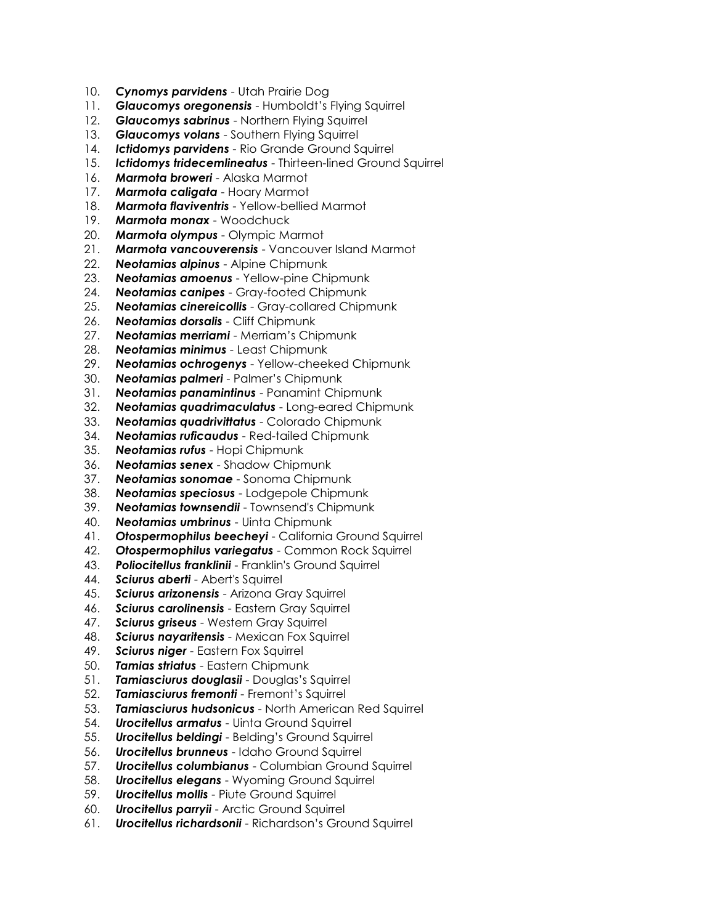- 10. *Cynomys parvidens* Utah Prairie Dog
- 11. *Glaucomys oregonensis* Humboldt's Flying Squirrel
- 12. *Glaucomys sabrinus* Northern Flying Squirrel
- 13. *Glaucomys volans* Southern Flying Squirrel
- 14. *Ictidomys parvidens* Rio Grande Ground Squirrel
- 15. *Ictidomys tridecemlineatus* Thirteen-lined Ground Squirrel
- 16. *Marmota broweri* Alaska Marmot
- 17. *Marmota caligata* Hoary Marmot
- 18. *Marmota flaviventris* Yellow-bellied Marmot
- 19. *Marmota monax* Woodchuck
- 20. *Marmota olympus* Olympic Marmot
- 21. *Marmota vancouverensis* Vancouver Island Marmot
- 22. *Neotamias alpinus* Alpine Chipmunk
- 23. *Neotamias amoenus* Yellow-pine Chipmunk
- 24. *Neotamias canipes* Gray-footed Chipmunk
- 25. *Neotamias cinereicollis* Gray-collared Chipmunk
- 26. *Neotamias dorsalis* Cliff Chipmunk
- 27. *Neotamias merriami* Merriam's Chipmunk
- 28. *Neotamias minimus* Least Chipmunk
- 29. *Neotamias ochrogenys* Yellow-cheeked Chipmunk
- 30. *Neotamias palmeri* Palmer's Chipmunk
- 31. *Neotamias panamintinus* Panamint Chipmunk
- 32. *Neotamias quadrimaculatus* Long-eared Chipmunk
- 33. *Neotamias quadrivittatus* Colorado Chipmunk
- 34. *Neotamias ruficaudus* Red-tailed Chipmunk
- 35. *Neotamias rufus* Hopi Chipmunk
- 36. *Neotamias senex* Shadow Chipmunk
- 37. *Neotamias sonomae* Sonoma Chipmunk
- 38. *Neotamias speciosus* Lodgepole Chipmunk
- 39. *Neotamias townsendii* Townsend's Chipmunk
- 40. *Neotamias umbrinus* Uinta Chipmunk
- 41. *Otospermophilus beecheyi* California Ground Squirrel
- 42. *Otospermophilus variegatus* Common Rock Squirrel
- 43. *Poliocitellus franklinii* Franklin's Ground Squirrel
- 44. *Sciurus aberti* Abert's Squirrel
- 45. *Sciurus arizonensis* Arizona Gray Squirrel
- 46. *Sciurus carolinensis* Eastern Gray Squirrel
- 47. *Sciurus griseus* Western Gray Squirrel
- 48. *Sciurus nayaritensis* Mexican Fox Squirrel
- 49. *Sciurus niger* Eastern Fox Squirrel
- 50. *Tamias striatus* Eastern Chipmunk
- 51. *Tamiasciurus douglasii* Douglas's Squirrel
- 52. *Tamiasciurus fremonti* Fremont's Squirrel
- 53. *Tamiasciurus hudsonicus* North American Red Squirrel
- 54. *Urocitellus armatus* Uinta Ground Squirrel
- 55. *Urocitellus beldingi* Belding's Ground Squirrel
- 56. *Urocitellus brunneus* Idaho Ground Squirrel
- 57. *Urocitellus columbianus* Columbian Ground Squirrel
- 58. *Urocitellus elegans* Wyoming Ground Squirrel
- 59. *Urocitellus mollis* Piute Ground Squirrel
- 60. *Urocitellus parryii* Arctic Ground Squirrel
- 61. *Urocitellus richardsonii* Richardson's Ground Squirrel